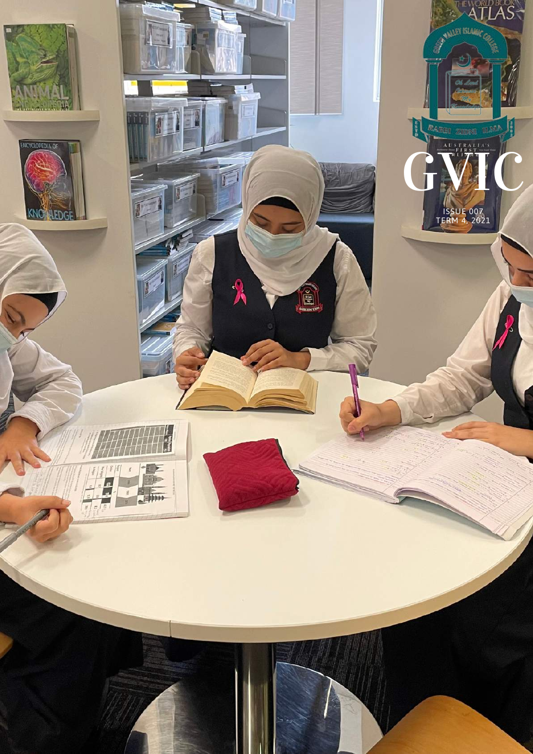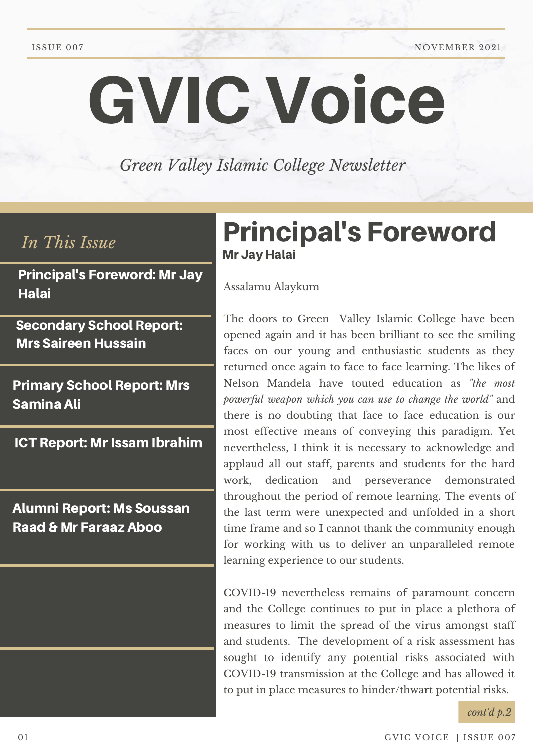ISSUE 007 NOVEMBER 2021

# GVIC Voice

*Green Valley Islamic College Newsletter*

Principal's Foreword: Mr Jay **Halai** 

Secondary School Report: Mrs Saireen Hussain

Primary School Report: Mrs Samina Ali

**ICT Report: Mr Issam Ibrahim** 

Alumni Report: Ms Soussan Raad & Mr Faraaz Aboo

# *In This Issue* Principal's Foreword Mr Jay Halai

Assalamu Alaykum

The doors to Green Valley Islamic College have been opened again and it has been brilliant to see the smiling faces on our young and enthusiastic students as they returned once again to face to face learning. The likes of Nelson Mandela have touted education as *"the most powerful weapon which you can use to change the world"* and there is no doubting that face to face education is our most effective means of conveying this paradigm. Yet nevertheless, I think it is necessary to acknowledge and applaud all out staff, parents and students for the hard work, dedication and perseverance demonstrated throughout the period of remote learning. The events of the last term were unexpected and unfolded in a short time frame and so I cannot thank the community enough for working with us to deliver an unparalleled remote learning experience to our students.

COVID-19 nevertheless remains of paramount concern and the College continues to put in place a plethora of measures to limit the spread of the virus amongst staff and students. The development of a risk assessment has sought to identify any potential risks associated with COVID-19 transmission at the College and has allowed it to put in place measures to hinder/thwart potential risks.

*cont'd p.2*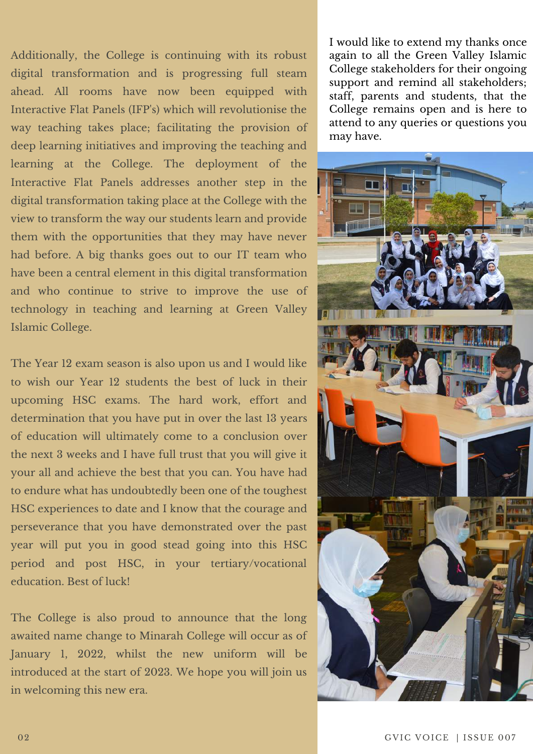Additionally, the College is continuing with its robust digital transformation and is progressing full steam ahead. All rooms have now been equipped with Interactive Flat Panels (IFP's) which will revolutionise the way teaching takes place; facilitating the provision of deep learning initiatives and improving the teaching and learning at the College. The deployment of the Interactive Flat Panels addresses another step in the digital transformation taking place at the College with the view to transform the way our students learn and provide them with the opportunities that they may have never had before. A big thanks goes out to our IT team who have been a central element in this digital transformation and who continue to strive to improve the use of technology in teaching and learning at Green Valley Islamic College.

The Year 12 exam season is also upon us and I would like to wish our Year 12 students the best of luck in their upcoming HSC exams. The hard work, effort and determination that you have put in over the last 13 years of education will ultimately come to a conclusion over the next 3 weeks and I have full trust that you will give it your all and achieve the best that you can. You have had to endure what has undoubtedly been one of the toughest HSC experiences to date and I know that the courage and perseverance that you have demonstrated over the past year will put you in good stead going into this HSC period and post HSC, in your tertiary/vocational education. Best of luck!

The College is also proud to announce that the long awaited name change to Minarah College will occur as of January 1, 2022, whilst the new uniform will be introduced at the start of 2023. We hope you will join us in welcoming this new era.

I would like to extend my thanks once again to all the Green Valley Islamic College stakeholders for their ongoing support and remind all stakeholders; staff, parents and students, that the College remains open and is here to attend to any queries or questions you may have.

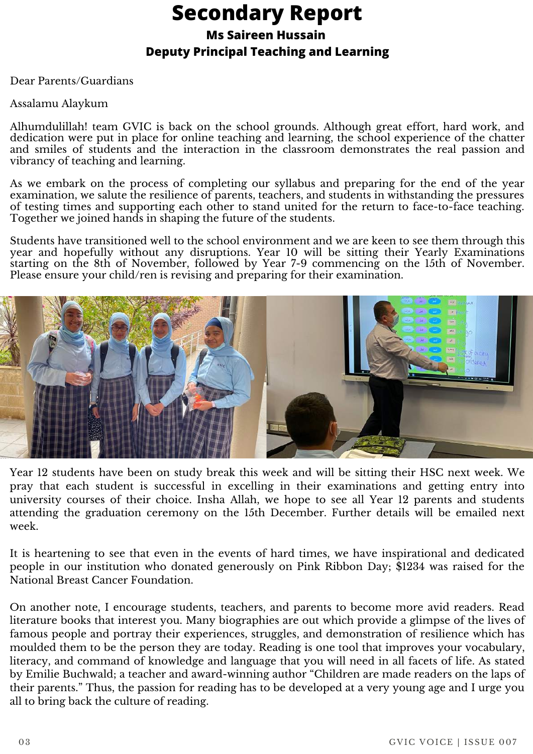# **Secondary Report**

#### **Ms Saireen Hussain**

#### **Deputy Principal Teaching and Learning**

Dear Parents/Guardians

#### Assalamu Alaykum

Alhumdulillah! team GVIC is back on the school grounds. Although great effort, hard work, and dedication were put in place for online teaching and learning, the school experience of the chatter and smiles of students and the interaction in the classroom demonstrates the real passion and vibrancy of teaching and learning.

As we embark on the process of completing our syllabus and preparing for the end of the year examination, we salute the resilience of parents, teachers, and students in withstanding the pressures of testing times and supporting each other to stand united for the return to face-to-face teaching. Together we joined hands in shaping the future of the students.

Students have transitioned well to the school environment and we are keen to see them through this year and hopefully without any disruptions. Year 10 will be sitting their Yearly Examinations starting on the 8th of November, followed by Year 7-9 commencing on the 15th of November. Please ensure your child/ren is revising and preparing for their examination.



Year 12 students have been on study break this week and will be sitting their HSC next week. We pray that each student is successful in excelling in their examinations and getting entry into university courses of their choice. Insha Allah, we hope to see all Year 12 parents and students attending the graduation ceremony on the 15th December. Further details will be emailed next week.

It is heartening to see that even in the events of hard times, we have inspirational and dedicated people in our institution who donated generously on Pink Ribbon Day; \$1234 was raised for the National Breast Cancer Foundation.

On another note, I encourage students, teachers, and parents to become more avid readers. Read literature books that interest you. Many biographies are out which provide a glimpse of the lives of famous people and portray their experiences, struggles, and demonstration of resilience which has moulded them to be the person they are today. Reading is one tool that improves your vocabulary, literacy, and command of knowledge and language that you will need in all facets of life. As stated by Emilie Buchwald; a teacher and award-winning author "Children are made readers on the laps of their parents." Thus, the passion for reading has to be developed at a very young age and I urge you all to bring back the culture of reading.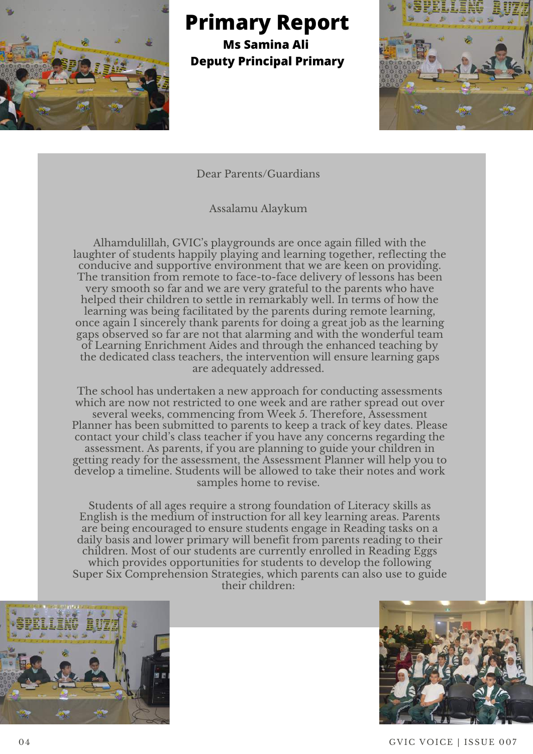

**Primary Report**

**Ms Samina Ali Deputy Principal Primary**



Dear Parents/Guardians

Assalamu Alaykum

Alhamdulillah, GVIC's playgrounds are once again filled with the laughter of students happily playing and learning together, reflecting the conducive and supportive environment that we are keen on providing. The transition from remote to face-to-face delivery of lessons has been very smooth so far and we are very grateful to the parents who have helped their children to settle in remarkably well. In terms of how the learning was being facilitated by the parents during remote learning, once again I sincerely thank parents for doing a great job as the learning gaps observed so far are not that alarming and with the wonderful team of Learning Enrichment Aides and through the enhanced teaching by the dedicated class teachers, the intervention will ensure learning gaps are adequately addressed.

The school has undertaken a new approach for conducting assessments which are now not restricted to one week and are rather spread out over several weeks, commencing from Week 5. Therefore, Assessment Planner has been submitted to parents to keep a track of key dates. Please contact your child's class teacher if you have any concerns regarding the assessment. As parents, if you are planning to guide your children in getting ready for the assessment, the Assessment Planner will help you to develop a timeline. Students will be allowed to take their notes and work samples home to revise.

Students of all ages require a strong foundation of Literacy skills as English is the medium of instruction for all key learning areas. Parents are being encouraged to ensure students engage in Reading tasks on a daily basis and lower primary will benefit from parents reading to their children. Most of our students are currently enrolled in Reading Eggs which provides opportunities for students to develop the following Super Six Comprehension Strategies, which parents can also use to guide their children:





04 GVIC VOICE | ISSUE 007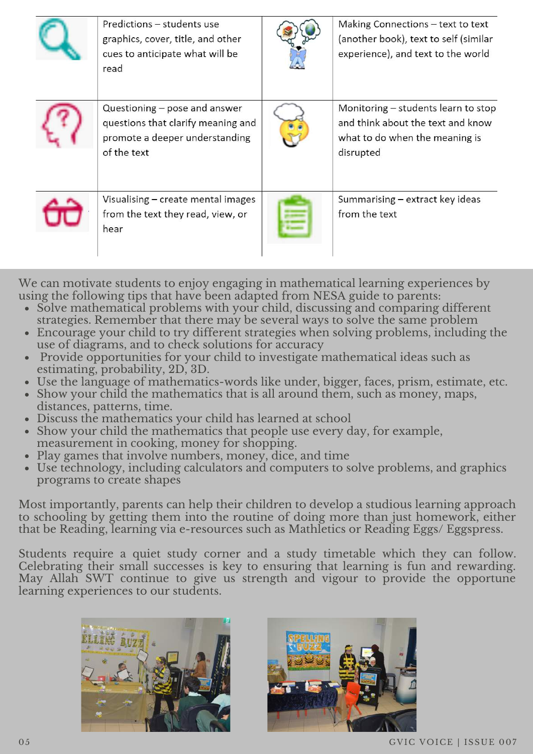| Predictions - students use<br>graphics, cover, title, and other<br>cues to anticipate what will be<br>read           | Making Connections - text to text<br>(another book), text to self (similar<br>experience), and text to the world        |
|----------------------------------------------------------------------------------------------------------------------|-------------------------------------------------------------------------------------------------------------------------|
| Questioning – pose and answer<br>questions that clarify meaning and<br>promote a deeper understanding<br>of the text | Monitoring - students learn to stop<br>and think about the text and know<br>what to do when the meaning is<br>disrupted |
| Visualising - create mental images<br>from the text they read, view, or<br>hear                                      | Summarising – extract key ideas<br>from the text                                                                        |

We can motivate students to enjoy engaging in mathematical learning experiences by using the following tips that have been adapted from NESA guide to parents:

- Solve mathematical problems with your child, discussing and comparing different strategies. Remember that there may be several ways to solve the same problem
- Encourage your child to try different strategies when solving problems, including the use of diagrams, and to check solutions for accuracy
- Provide opportunities for your child to investigate mathematical ideas such as estimating, probability, 2D, 3D.
- Use the language of mathematics-words like under, bigger, faces, prism, estimate, etc.
- Show your child the mathematics that is all around them, such as money, maps, distances, patterns, time.
- Discuss the mathematics your child has learned at school
- Show your child the mathematics that people use every day, for example, measurement in cooking, money for shopping.
- Play games that involve numbers, money, dice, and time
- Use technology, including calculators and computers to solve problems, and graphics programs to create shapes

Most importantly, parents can help their children to develop a studious learning approach to schooling by getting them into the routine of doing more than just homework, either that be Reading, learning via e-resources such as Mathletics or Reading Eggs/ Eggspress.

Students require a quiet study corner and a study timetable which they can follow. Celebrating their small successes is key to ensuring that learning is fun and rewarding. May Allah SWT continue to give us strength and vigour to provide the opportune learning experiences to our students.



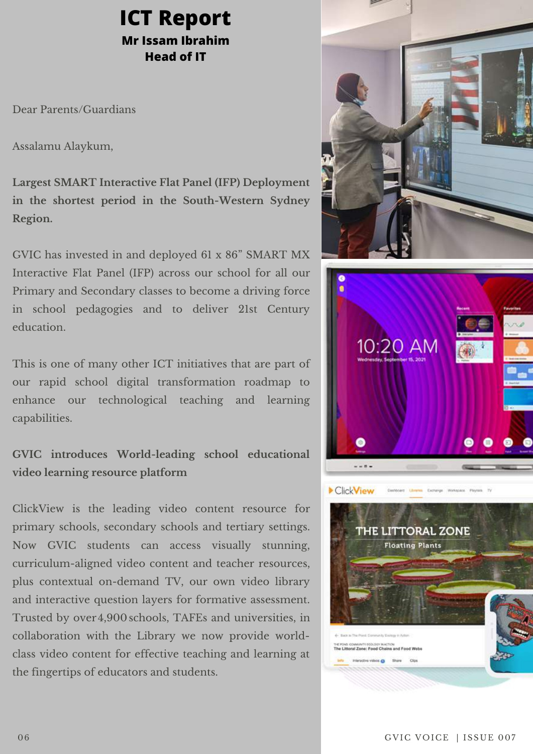### **ICT Report Mr Issam Ibrahim Head of IT**

Dear Parents/Guardians

Assalamu Alaykum,

**Largest SMART Interactive Flat Panel (IFP) Deployment in the shortest period in the South-Western Sydney Region.**

GVIC has invested in and deployed 61 x 86" SMART MX Interactive Flat Panel (IFP) across our school for all our Primary and Secondary classes to become a driving force in school pedagogies and to deliver 21st Century education.

This is one of many other ICT initiatives that are part of our rapid school digital transformation roadmap to enhance our technological teaching and learning capabilities.

**GVIC introduces World-leading school educational video learning resource platform**

ClickView is the leading video content resource for primary schools, secondary schools and tertiary settings. Now GVIC students can access visually stunning, curriculum-aligned video content and teacher resources, plus contextual on-demand TV, our own video library and interactive question layers for formative assessment. Trusted by over4,900 schools, TAFEs and universities, in collaboration with the Library we now provide worldclass video content for effective teaching and learning at the fingertips of educators and students.